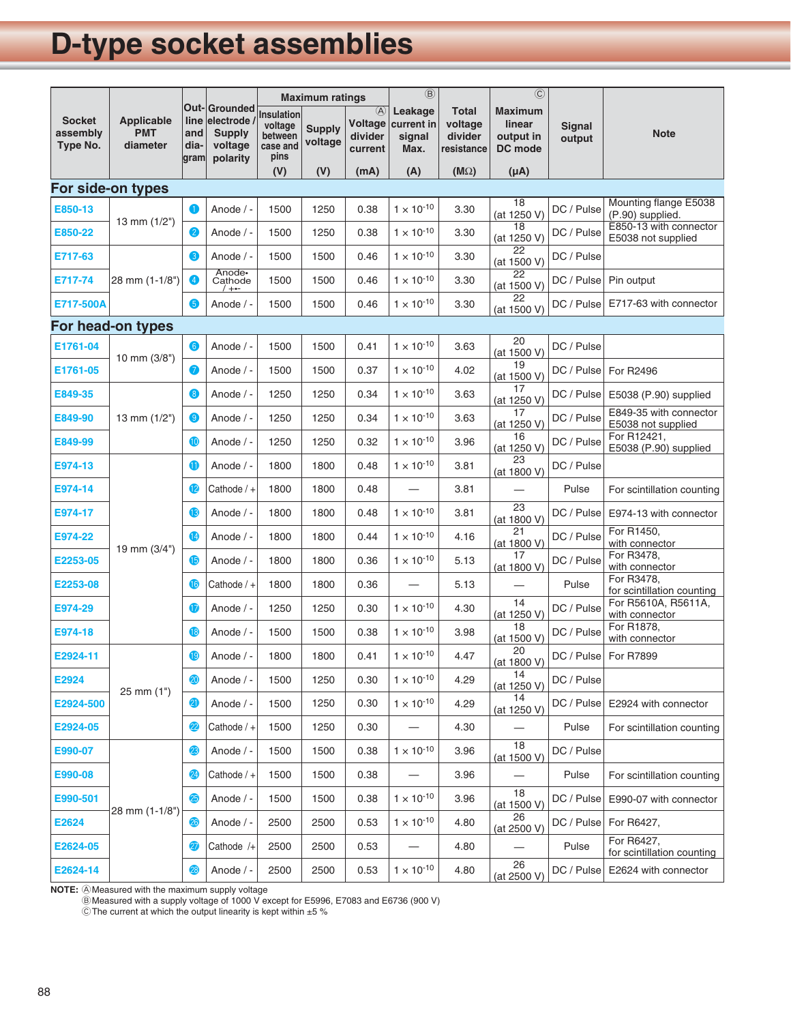# **D-type socket assemblies**

|                                       |                                             |                     |                                                                          | <b>Maximum ratings</b>                               |                          |                                                | $\circledR$                             |                                                  | $\overline{\odot}$                               |                         |                                              |
|---------------------------------------|---------------------------------------------|---------------------|--------------------------------------------------------------------------|------------------------------------------------------|--------------------------|------------------------------------------------|-----------------------------------------|--------------------------------------------------|--------------------------------------------------|-------------------------|----------------------------------------------|
| <b>Socket</b><br>assembly<br>Type No. | <b>Applicable</b><br><b>PMT</b><br>diameter | and<br>dia-<br>gram | Out-Grounded<br>line electrode /<br><b>Supply</b><br>voltage<br>polarity | Insulation<br>voltage<br>between<br>case and<br>pins | <b>Supply</b><br>voltage | $\circled{A}$<br>Voltage<br>divider<br>current | Leakage<br>current in<br>signal<br>Max. | <b>Total</b><br>voltage<br>divider<br>resistance | <b>Maximum</b><br>linear<br>output in<br>DC mode | <b>Signal</b><br>output | <b>Note</b>                                  |
|                                       |                                             |                     |                                                                          | (V)                                                  | (V)                      | (mA)                                           | (A)                                     | $(M\Omega)$                                      | $(\mu A)$                                        |                         |                                              |
|                                       | For side-on types                           |                     |                                                                          |                                                      |                          |                                                |                                         |                                                  | 18                                               |                         | Mounting flange E5038                        |
| E850-13                               | 13 mm $(1/2")$                              | 0                   | Anode $/ -$                                                              | 1500                                                 | 1250                     | 0.38                                           | $1 \times 10^{-10}$                     | 3.30                                             | (at 1250 V)<br>18                                | DC / Pulse              | (P.90) supplied.<br>E850-13 with connector   |
| E850-22                               |                                             | $\bullet$           | Anode / -                                                                | 1500                                                 | 1250                     | 0.38                                           | $1 \times 10^{-10}$                     | 3.30                                             | (at 1250 V)<br>22                                | DC / Pulse              | E5038 not supplied                           |
| E717-63                               | 28 mm (1-1/8")                              | 6                   | Anode / -                                                                | 1500                                                 | 1500                     | 0.46                                           | $1 \times 10^{-10}$                     | 3.30                                             | (at 1500 V)                                      | DC / Pulse              |                                              |
| E717-74                               |                                             | 4                   | Anode-<br>Cathode<br>$+ \cdot -$                                         | 1500                                                 | 1500                     | 0.46                                           | $1 \times 10^{-10}$                     | 3.30                                             | 22<br>(at 1500 V)                                | DC / Pulse              | Pin output                                   |
| E717-500A                             |                                             | 6                   | Anode / -                                                                | 1500                                                 | 1500                     | 0.46                                           | $1 \times 10^{-10}$                     | 3.30                                             | 22<br>(at 1500 V)                                | DC / Pulse              | E717-63 with connector                       |
| For head-on types                     |                                             |                     |                                                                          |                                                      |                          |                                                |                                         |                                                  |                                                  |                         |                                              |
| E1761-04                              |                                             | 6                   | Anode / -                                                                | 1500                                                 | 1500                     | 0.41                                           | $1 \times 10^{-10}$                     | 3.63                                             | 20<br>(at 1500 V)                                | DC / Pulse              |                                              |
| E1761-05                              | 10 mm $(3/8")$                              | 0                   | Anode / -                                                                | 1500                                                 | 1500                     | 0.37                                           | $1 \times 10^{-10}$                     | 4.02                                             | 19<br>(at 1500 V)                                | DC / Pulse              | For R2496                                    |
| E849-35                               |                                             | 8                   | Anode / -                                                                | 1250                                                 | 1250                     | 0.34                                           | $1 \times 10^{-10}$                     | 3.63                                             | 17<br>(at 1250 V)                                | DC / Pulse              | E5038 (P.90) supplied                        |
| E849-90                               | 13 mm $(1/2")$                              | 0                   | Anode / -                                                                | 1250                                                 | 1250                     | 0.34                                           | $1 \times 10^{-10}$                     | 3.63                                             | 17<br>(at 1250 V)                                | DC / Pulse              | E849-35 with connector<br>E5038 not supplied |
| E849-99                               |                                             | $\bf \Phi$          | Anode / -                                                                | 1250                                                 | 1250                     | 0.32                                           | $1 \times 10^{-10}$                     | 3.96                                             | 16<br>(at 1250 V)                                | DC / Pulse              | For R12421,<br>E5038 (P.90) supplied         |
| E974-13                               | 19 mm (3/4")                                | ❶                   | Anode / -                                                                | 1800                                                 | 1800                     | 0.48                                           | $1 \times 10^{-10}$                     | 3.81                                             | 23<br>(at 1800 V)                                | DC / Pulse              |                                              |
| E974-14                               |                                             | $\bf{P}$            | Cathode $/ +$                                                            | 1800                                                 | 1800                     | 0.48                                           | —                                       | 3.81                                             |                                                  | Pulse                   | For scintillation counting                   |
| E974-17                               |                                             | ß                   | Anode / -                                                                | 1800                                                 | 1800                     | 0.48                                           | $1 \times 10^{-10}$                     | 3.81                                             | 23<br>(at 1800 V)                                | DC / Pulse              | E974-13 with connector                       |
| E974-22                               |                                             | Ø                   | Anode / -                                                                | 1800                                                 | 1800                     | 0.44                                           | $1 \times 10^{-10}$                     | 4.16                                             | 21<br>(at 1800 V)                                | DC / Pulse              | For R1450,<br>with connector                 |
| E2253-05                              |                                             | $\bf{G}$            | Anode / -                                                                | 1800                                                 | 1800                     | 0.36                                           | $1 \times 10^{-10}$                     | 5.13                                             | 17<br>(at 1800 V)                                | DC / Pulse              | For R3478,<br>with connector                 |
| E2253-08                              |                                             | ⑯                   | Cathode $/ +$                                                            | 1800                                                 | 1800                     | 0.36                                           |                                         | 5.13                                             |                                                  | Pulse                   | For R3478,<br>for scintillation counting     |
| E974-29                               |                                             | ❶                   | Anode / -                                                                | 1250                                                 | 1250                     | 0.30                                           | $1 \times 10^{-10}$                     | 4.30                                             | 14<br>(at 1250 V)                                | DC / Pulse              | For R5610A, R5611A,<br>with connector        |
| E974-18                               |                                             | 18                  | Anode / -                                                                | 1500                                                 | 1500                     | 0.38                                           | $1 \times 10^{-10}$                     | 3.98                                             | 18<br>(at 1500 V)                                | DC / Pulse              | For R1878,<br>with connector                 |
| E2924-11                              | $25$ mm $(1")$                              | 19                  | Anode / -                                                                | 1800                                                 | 1800                     | 0.41                                           | $1\times10^{\text{-}10}$                | 4.47                                             | 20<br>(at 1800 V)                                |                         | DC / Pulse For R7899                         |
| E2924                                 |                                             | 20                  | Anode / -                                                                | 1500                                                 | 1250                     | 0.30                                           | $1 \times 10^{-10}$                     | 4.29                                             | 14<br>(at 1250 V)                                | DC / Pulse              |                                              |
| E2924-500                             |                                             | 21                  | Anode / -                                                                | 1500                                                 | 1250                     | 0.30                                           | $1 \times 10^{-10}$                     | 4.29                                             | 14<br>(at 1250 V)                                | DC / Pulse              | E2924 with connector                         |
| E2924-05                              |                                             | $\overline{22}$     | Cathode $/ +$                                                            | 1500                                                 | 1250                     | 0.30                                           | $\qquad \qquad$                         | 4.30                                             | $\overbrace{\phantom{123321}}$                   | Pulse                   | For scintillation counting                   |
| E990-07                               | 28 mm (1-1/8")                              | 23                  | Anode / -                                                                | 1500                                                 | 1500                     | 0.38                                           | $1 \times 10^{-10}$                     | 3.96                                             | 18<br>(at 1500 V)                                | DC / Pulse              |                                              |
| E990-08                               |                                             | 24                  | Cathode / +                                                              | 1500                                                 | 1500                     | 0.38                                           | $\qquad \qquad$                         | 3.96                                             |                                                  | Pulse                   | For scintillation counting                   |
| E990-501                              |                                             | 25                  | Anode / -                                                                | 1500                                                 | 1500                     | 0.38                                           | $1 \times 10^{-10}$                     | 3.96                                             | 18<br>(at 1500 V)                                | DC / Pulse              | E990-07 with connector                       |
| E2624                                 |                                             | 26                  | Anode / -                                                                | 2500                                                 | 2500                     | 0.53                                           | $1 \times 10^{-10}$                     | 4.80                                             | 26<br>(at 2500 V)                                | DC / Pulse              | For R6427,                                   |
| E2624-05                              |                                             | 27                  | Cathode /+                                                               | 2500                                                 | 2500                     | 0.53                                           |                                         | 4.80                                             |                                                  | Pulse                   | For R6427,<br>for scintillation counting     |
| E2624-14                              |                                             | 28)                 | Anode / -                                                                | 2500                                                 | 2500                     | 0.53                                           | $1 \times 10^{-10}$                     | 4.80                                             | 26<br>(at 2500 V)                                | DC / Pulse              | E2624 with connector                         |

**NOTE:** A Measured with the maximum supply voltage<br>R Measured with a supply voltage of 1000 V e

®Measured with a supply voltage of 1000 V except for E5996, E7083 and E6736 (900 V)<br>©The current at which the output linearity is kent within +5 %

 $\copyright$  The current at which the output linearity is kept within  $\pm 5~\%$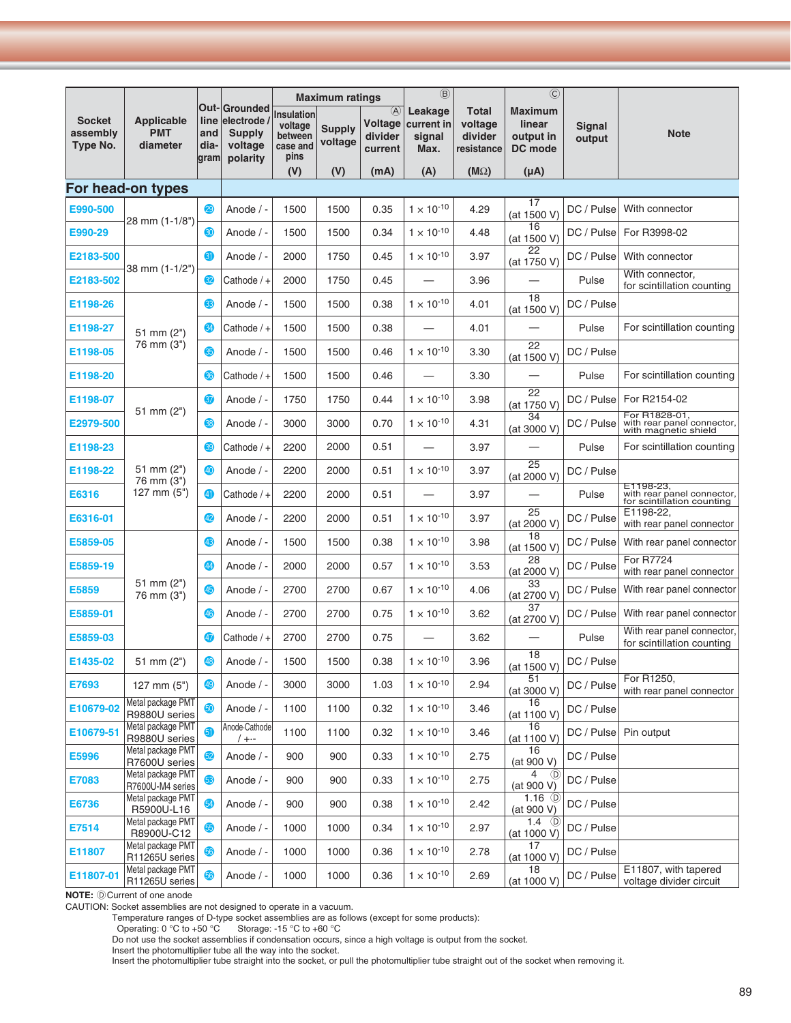|                                       |                                             |                     |                                                                          | <b>Maximum ratings</b>                               |                          |                                                | $\circledR$                             |                                                  | $\overline{C}$                                   |                  |                                                                       |
|---------------------------------------|---------------------------------------------|---------------------|--------------------------------------------------------------------------|------------------------------------------------------|--------------------------|------------------------------------------------|-----------------------------------------|--------------------------------------------------|--------------------------------------------------|------------------|-----------------------------------------------------------------------|
| <b>Socket</b><br>assembly<br>Type No. | <b>Applicable</b><br><b>PMT</b><br>diameter | and<br>dia-<br>gram | Out-Grounded<br>line electrode /<br><b>Supply</b><br>voltage<br>polarity | Insulation<br>voltage<br>between<br>case and<br>pins | <b>Supply</b><br>voltage | $\circled{A}$<br>Voltage<br>divider<br>current | Leakage<br>current in<br>signal<br>Max. | <b>Total</b><br>voltage<br>divider<br>resistance | <b>Maximum</b><br>linear<br>output in<br>DC mode | Signal<br>output | <b>Note</b>                                                           |
|                                       |                                             |                     |                                                                          | (V)                                                  | (V)                      | (mA)                                           | (A)                                     | $(M\Omega)$                                      | $(\mu A)$                                        |                  |                                                                       |
|                                       | For head-on types                           |                     |                                                                          |                                                      |                          |                                                |                                         |                                                  | 17                                               |                  |                                                                       |
| E990-500                              | 28 mm (1-1/8")                              | 29                  | Anode / -                                                                | 1500                                                 | 1500                     | 0.35                                           | $1 \times 10^{-10}$                     | 4.29                                             | (at 1500 V)                                      | DC / Pulse       | With connector                                                        |
| E990-29                               |                                             | 30                  | Anode / -                                                                | 1500                                                 | 1500                     | 0.34                                           | $1 \times 10^{-10}$                     | 4.48                                             | 16<br>(at 1500 V)                                | DC / Pulse       | For R3998-02                                                          |
| E2183-500                             | 38 mm (1-1/2")                              | 61                  | Anode / -                                                                | 2000                                                 | 1750                     | 0.45                                           | $1 \times 10^{-10}$                     | 3.97                                             | 22<br>(at 1750 V)                                | DC / Pulse       | With connector                                                        |
| E2183-502                             |                                             | 32                  | Cathode / +                                                              | 2000                                                 | 1750                     | 0.45                                           |                                         | 3.96                                             |                                                  | Pulse            | With connector,<br>for scintillation counting                         |
| E1198-26                              | 51 mm (2")                                  | 33                  | Anode / -                                                                | 1500                                                 | 1500                     | 0.38                                           | $1 \times 10^{-10}$                     | 4.01                                             | 18<br>(at 1500 V)                                | DC / Pulse       |                                                                       |
| E1198-27                              |                                             | 34                  | Cathode / +                                                              | 1500                                                 | 1500                     | 0.38                                           |                                         | 4.01                                             |                                                  | Pulse            | For scintillation counting                                            |
| E1198-05                              | 76 mm (3")                                  | 35                  | Anode / -                                                                | 1500                                                 | 1500                     | 0.46                                           | $1 \times 10^{-10}$                     | 3.30                                             | $\overline{22}$<br>(at 1500 V)                   | DC / Pulse       |                                                                       |
| E1198-20                              |                                             | 66                  | Cathode / +                                                              | 1500                                                 | 1500                     | 0.46                                           |                                         | 3.30                                             |                                                  | Pulse            | For scintillation counting                                            |
| E1198-07                              | 51 mm $(2")$                                | 37                  | Anode / -                                                                | 1750                                                 | 1750                     | 0.44                                           | $1 \times 10^{-10}$                     | 3.98                                             | 22<br>(at 1750 V)                                | DC / Pulse       | For R2154-02                                                          |
| E2979-500                             |                                             | 38                  | Anode / -                                                                | 3000                                                 | 3000                     | 0.70                                           | $1 \times 10^{-10}$                     | 4.31                                             | 34<br>(at 3000 V)                                | DC / Pulse       | For R1828-01,<br>with rear panel connector,<br>with magnetic shield   |
| E1198-23                              | 51 mm (2")<br>76 mm (3")<br>127 mm (5")     | 39                  | Cathode / +                                                              | 2200                                                 | 2000                     | 0.51                                           |                                         | 3.97                                             |                                                  | Pulse            | For scintillation counting                                            |
| E1198-22                              |                                             | 40                  | Anode / -                                                                | 2200                                                 | 2000                     | 0.51                                           | $1 \times 10^{-10}$                     | 3.97                                             | 25<br>(at 2000 V)                                | DC / Pulse       |                                                                       |
| E6316                                 |                                             | 41                  | Cathode / +                                                              | 2200                                                 | 2000                     | 0.51                                           |                                         | 3.97                                             |                                                  | Pulse            | E1198-23,<br>with rear panel connector,<br>for scintillation counting |
| E6316-01                              |                                             | 42                  | Anode / -                                                                | 2200                                                 | 2000                     | 0.51                                           | $1 \times 10^{-10}$                     | 3.97                                             | 25<br>(at 2000 V)                                | DC / Pulse       | E1198-22,<br>with rear panel connector                                |
| E5859-05                              |                                             | 43                  | Anode / -                                                                | 1500                                                 | 1500                     | 0.38                                           | $1 \times 10^{-10}$                     | 3.98                                             | 18<br>(at 1500 V)                                | DC / Pulse       | With rear panel connector                                             |
| E5859-19                              | 51 mm (2")<br>76 mm (3")                    | 44                  | Anode / -                                                                | 2000                                                 | 2000                     | 0.57                                           | $1 \times 10^{-10}$                     | 3.53                                             | 28<br>(at 2000 V)                                | DC / Pulse       | <b>For R7724</b><br>with rear panel connector                         |
| E5859                                 |                                             | 45                  | Anode / -                                                                | 2700                                                 | 2700                     | 0.67                                           | $1 \times 10^{-10}$                     | 4.06                                             | 33<br>(at 2700 V)                                | DC / Pulse       | With rear panel connector                                             |
| E5859-01                              |                                             | 46                  | Anode / -                                                                | 2700                                                 | 2700                     | 0.75                                           | $1 \times 10^{-10}$                     | 3.62                                             | 37<br>(at 2700 V)                                | DC / Pulse       | With rear panel connector                                             |
| E5859-03                              |                                             | 47                  | Cathode / +                                                              | 2700                                                 | 2700                     | 0.75                                           |                                         | 3.62                                             |                                                  | Pulse            | With rear panel connector,<br>for scintillation counting              |
| E1435-02                              | 51 mm (2")                                  |                     | Anode / -                                                                | 1500                                                 | 1500                     | 0.38                                           | $1 \times 10^{-10}$                     | 3.96                                             | 18<br>(at 1500 V)                                | DC / Pulse       |                                                                       |
| E7693                                 | 127 mm $(5")$                               | 49                  | Anode / -                                                                | 3000                                                 | 3000                     | 1.03                                           | $1 \times 10^{-10}$                     | 2.94                                             | 51<br>(at 3000 V)                                | DC / Pulse       | For R1250,<br>with rear panel connector                               |
| E10679-02                             | Metal package PMT<br>R9880U series          | 50                  | Anode / -                                                                | 1100                                                 | 1100                     | 0.32                                           | $1 \times 10^{-10}$                     | 3.46                                             | 16<br>(at 1100 V)                                | DC / Pulse       |                                                                       |
| E10679-51                             | Metal package PMT<br>R9880U series          | 6)                  | Anode Cathode<br>$/ + -$                                                 | 1100                                                 | 1100                     | 0.32                                           | $1 \times 10^{-10}$                     | 3.46                                             | 16<br>(at 1100 V)                                |                  | DC / Pulse Pin output                                                 |
| E5996                                 | Metal package PMT<br>R7600U series          | 52                  | Anode / -                                                                | 900                                                  | 900                      | 0.33                                           | $1 \times 10^{-10}$                     | 2.75                                             | 16<br>(at 900 V)                                 | DC / Pulse       |                                                                       |
| E7083                                 | Metal package PMT<br>R7600U-M4 series       | 63                  | Anode / -                                                                | 900                                                  | 900                      | 0.33                                           | $1 \times 10^{-10}$                     | 2.75                                             | 4 (D)<br>(at 900 V)                              | DC / Pulse       |                                                                       |
| E6736                                 | Metal package PMT<br>R5900U-L16             | 54                  | Anode / -                                                                | 900                                                  | 900                      | 0.38                                           | $1 \times 10^{-10}$                     | 2.42                                             | 1.16 $①$<br>(at 900 V)                           | DC / Pulse       |                                                                       |
| E7514                                 | Metal package PMT<br>R8900U-C12             | ை                   | Anode / -                                                                | 1000                                                 | 1000                     | 0.34                                           | $1 \times 10^{-10}$                     | 2.97                                             | 1.4 $\circledcirc$<br>(at 1000 V)                | DC / Pulse       |                                                                       |
| E11807                                | Metal package PMT<br>R11265U series         | 56                  | Anode / -                                                                | 1000                                                 | 1000                     | 0.36                                           | $1 \times 10^{-10}$                     | 2.78                                             | 17<br>(at 1000 V)                                | DC / Pulse       |                                                                       |
| E11807-01                             | Metal package PMT<br>R11265U series         | 56                  | Anode / -                                                                | 1000                                                 | 1000                     | 0.36                                           | $1 \times 10^{-10}$                     | 2.69                                             | 18<br>(at 1000 V)                                | DC / Pulse       | E11807, with tapered<br>voltage divider circuit                       |

**NOTE:**  $\textcircled{D}$  Current of one anode

CAUTION: Socket assemblies are not designed to operate in a vacuum.

Temperature ranges of D-type socket assemblies are as follows (except for some products):

Operating: 0 °C to +50 °C Storage: -15 °C to +60 °C

Do not use the socket assemblies if condensation occurs, since a high voltage is output from the socket.

Insert the photomultiplier tube all the way into the socket.

Insert the photomultiplier tube straight into the socket, or pull the photomultiplier tube straight out of the socket when removing it.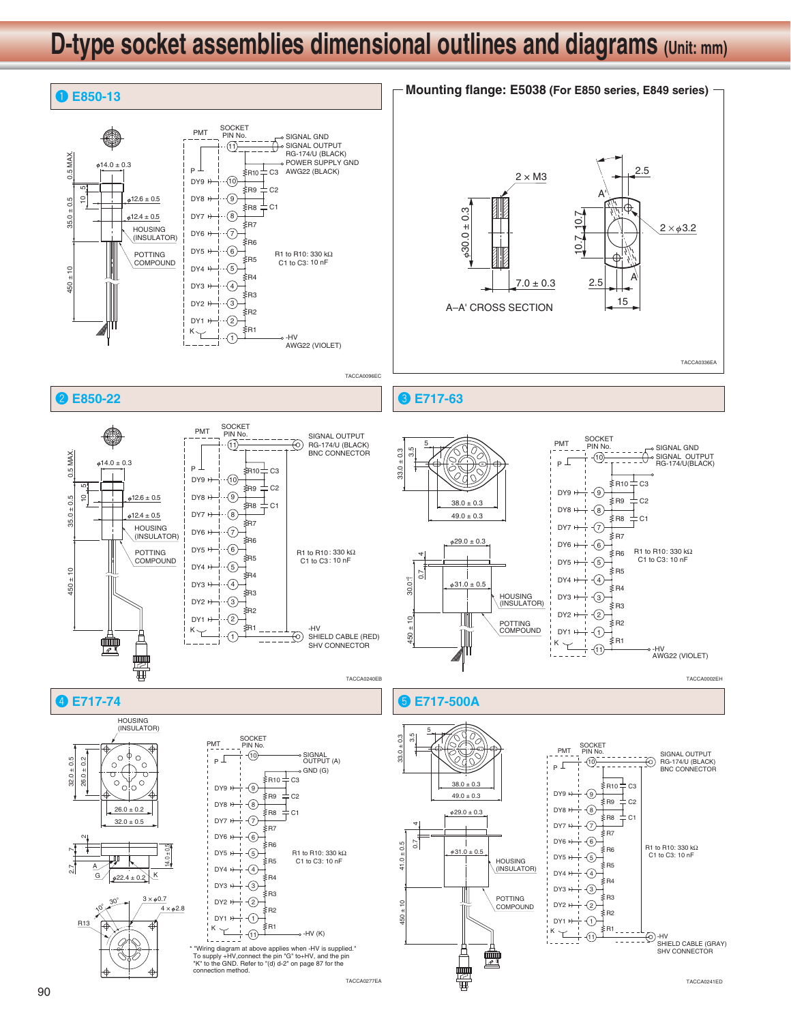

TACCA0277EA TACCA0241ED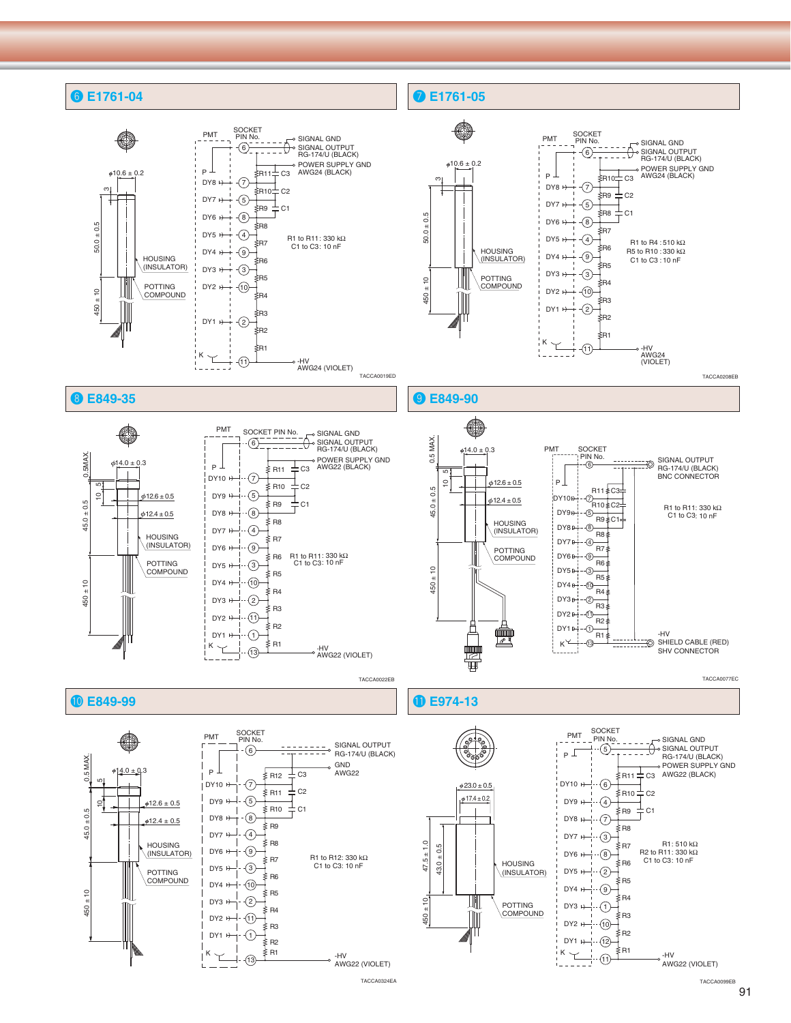

91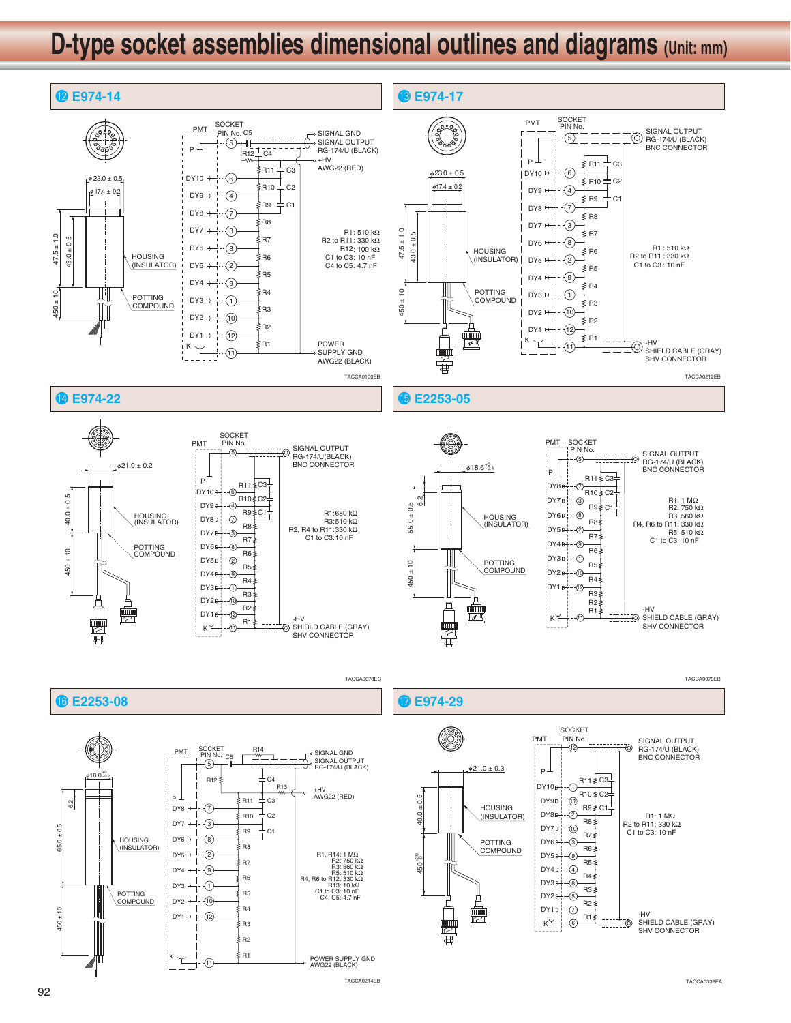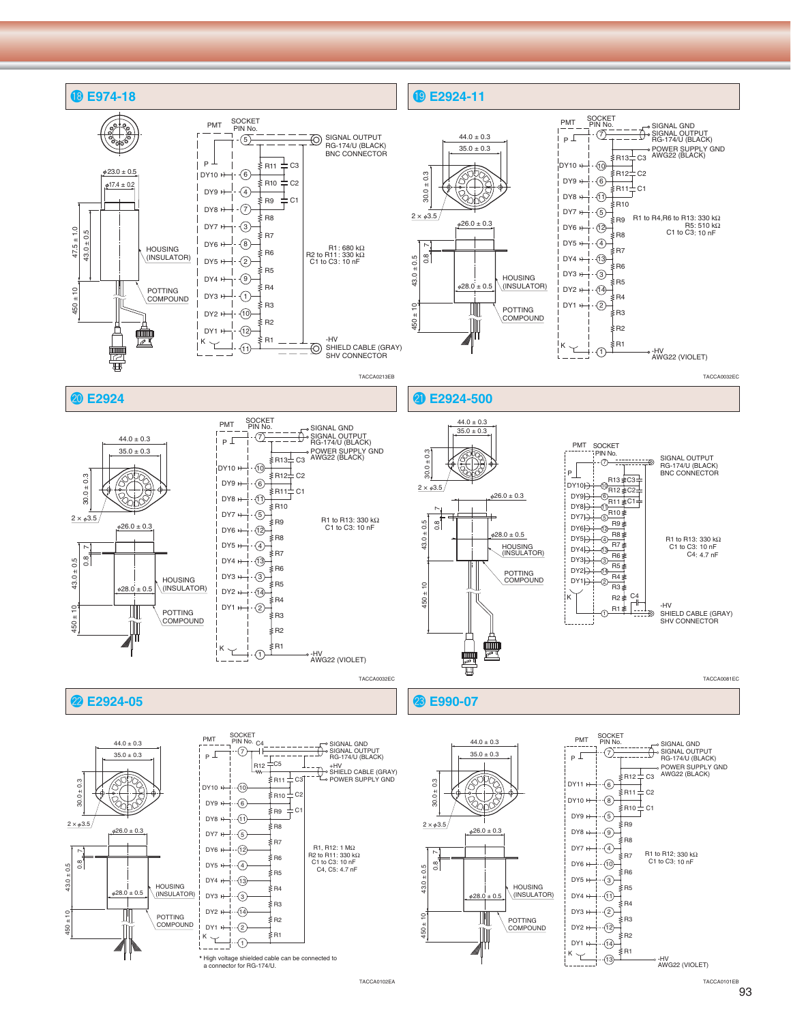

TACCA0102EA

93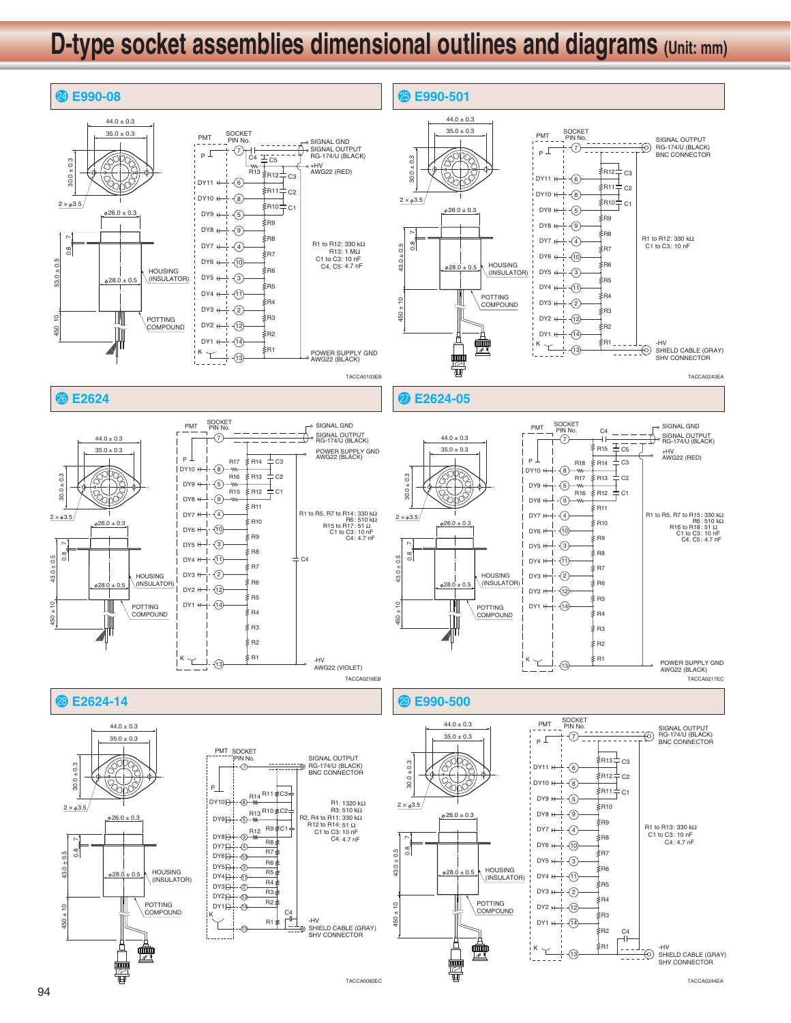

TACCA0244EA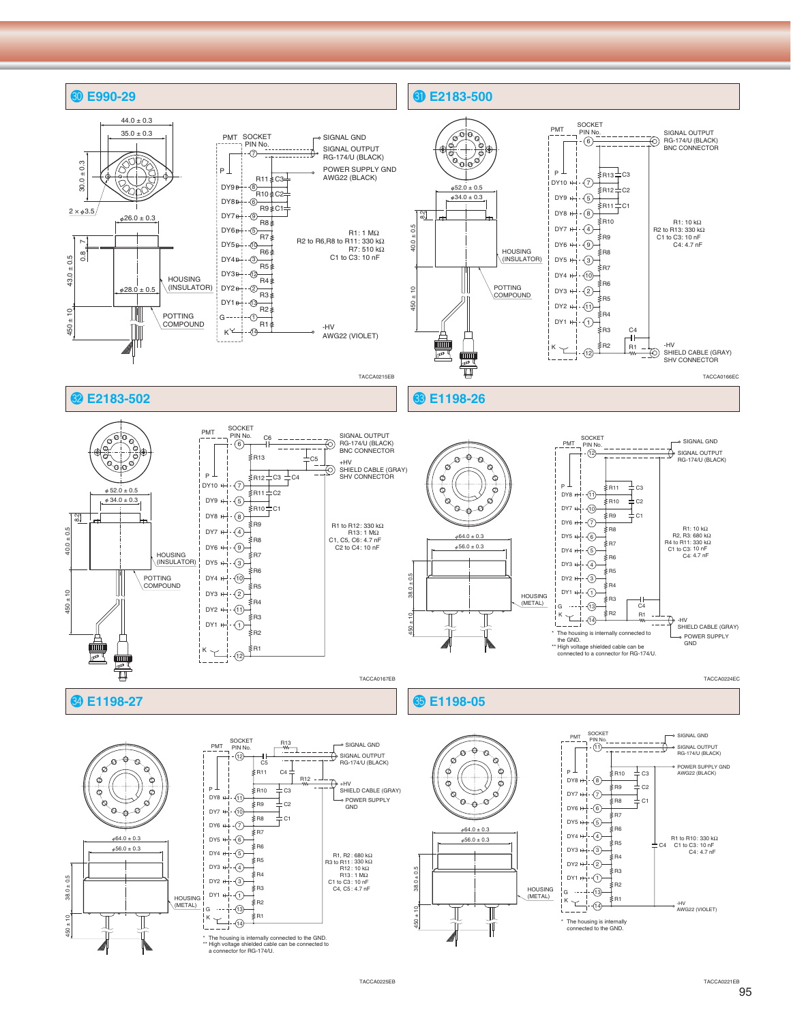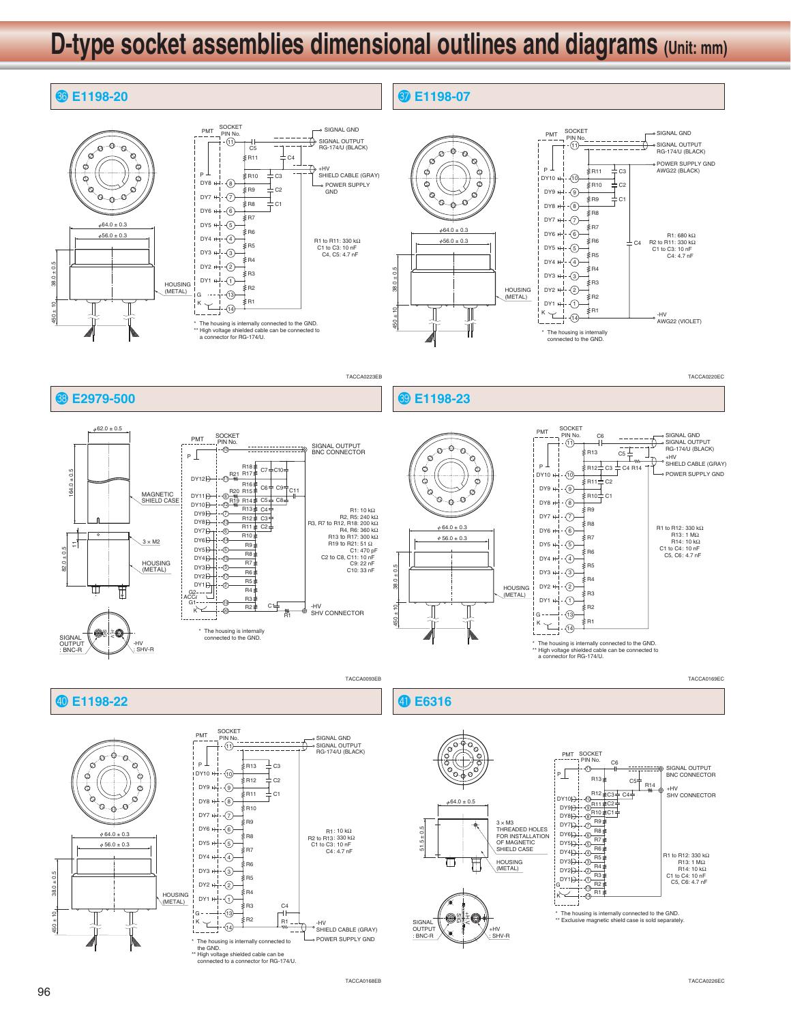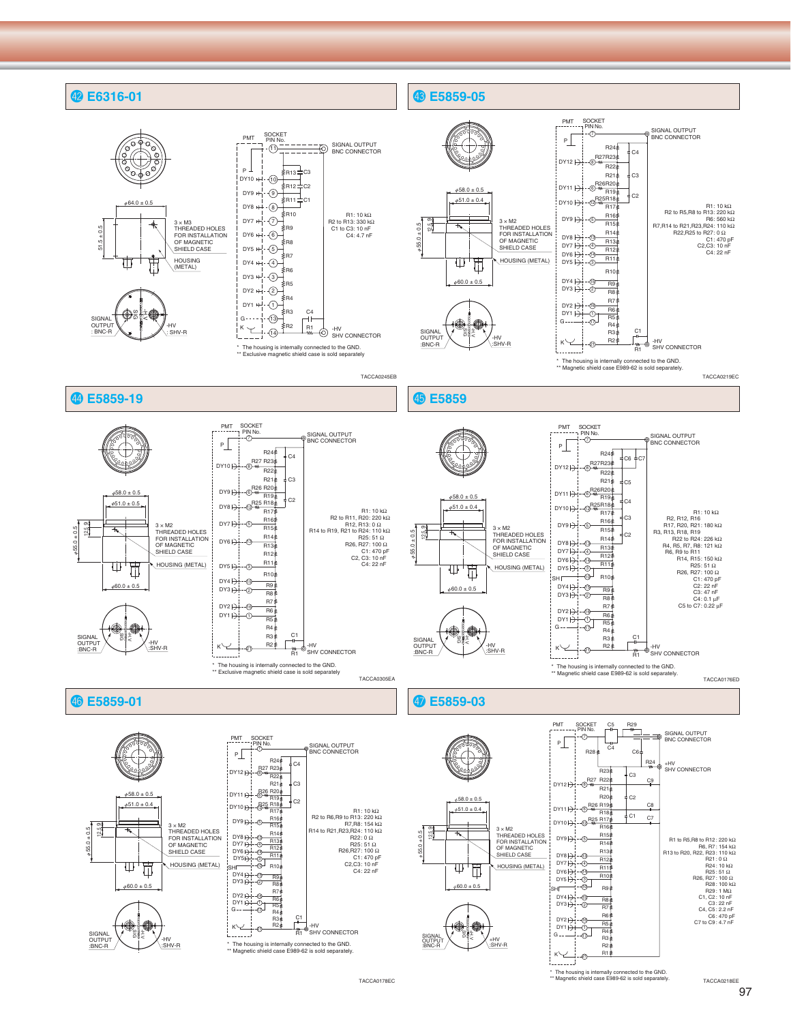

TACCA0178EC

97

TACCA0218EE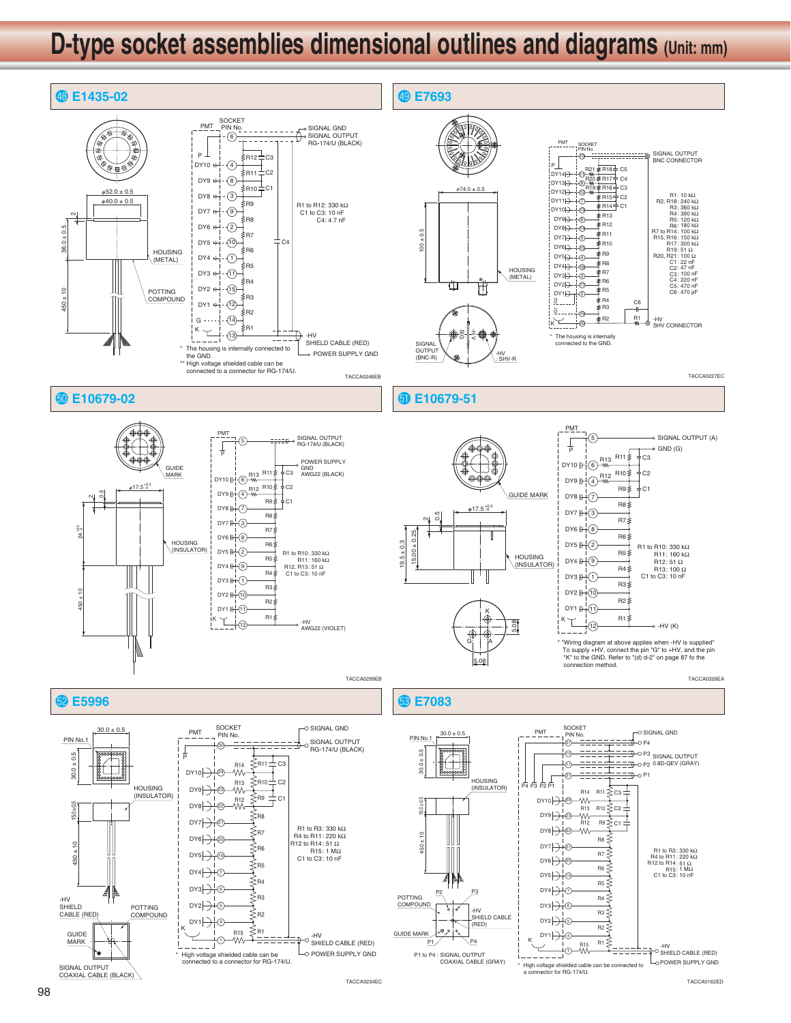